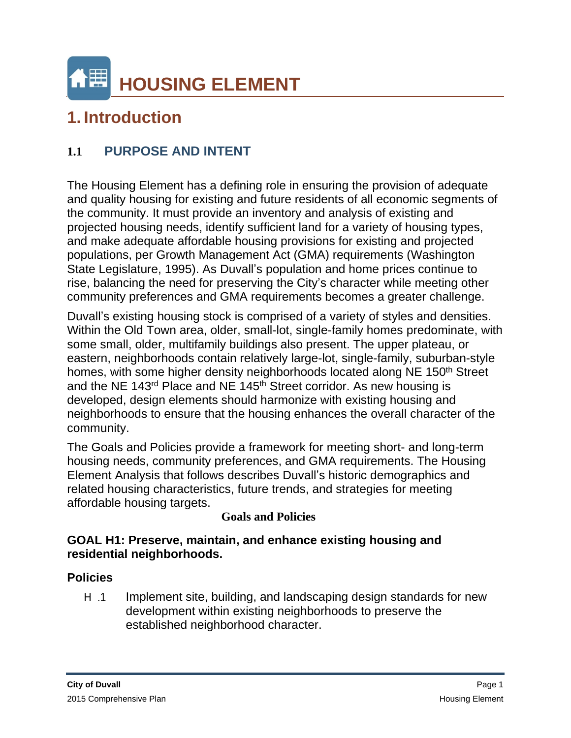# **1. Introduction**

# **1.1 PURPOSE AND INTENT**

The Housing Element has a defining role in ensuring the provision of adequate and quality housing for existing and future residents of all economic segments of the community. It must provide an inventory and analysis of existing and projected housing needs, identify sufficient land for a variety of housing types, and make adequate affordable housing provisions for existing and projected populations, per Growth Management Act (GMA) requirements (Washington State Legislature, 1995). As Duvall's population and home prices continue to rise, balancing the need for preserving the City's character while meeting other community preferences and GMA requirements becomes a greater challenge.

Duvall's existing housing stock is comprised of a variety of styles and densities. Within the Old Town area, older, small-lot, single-family homes predominate, with some small, older, multifamily buildings also present. The upper plateau, or eastern, neighborhoods contain relatively large-lot, single-family, suburban-style homes, with some higher density neighborhoods located along NE 150<sup>th</sup> Street and the NE 143rd Place and NE 145th Street corridor. As new housing is developed, design elements should harmonize with existing housing and neighborhoods to ensure that the housing enhances the overall character of the community.

The Goals and Policies provide a framework for meeting short- and long-term housing needs, community preferences, and GMA requirements. The Housing Element Analysis that follows describes Duvall's historic demographics and related housing characteristics, future trends, and strategies for meeting affordable housing targets.

## **Goals and Policies**

## **GOAL H1: Preserve, maintain, and enhance existing housing and residential neighborhoods.**

## **Policies**

H .1 Implement site, building, and landscaping design standards for new development within existing neighborhoods to preserve the established neighborhood character.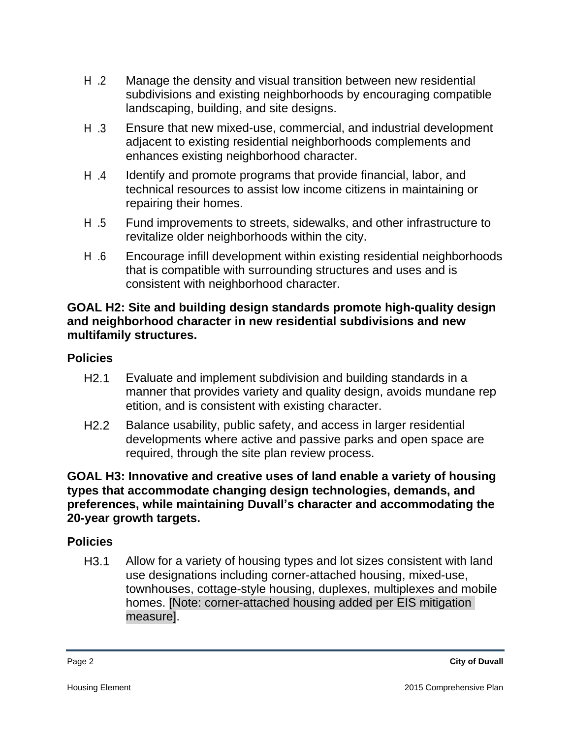- H .2 Manage the density and visual transition between new residential subdivisions and existing neighborhoods by encouraging compatible landscaping, building, and site designs.
- H .3 Ensure that new mixed-use, commercial, and industrial development adjacent to existing residential neighborhoods complements and enhances existing neighborhood character.
- H .4 Identify and promote programs that provide financial, labor, and technical resources to assist low income citizens in maintaining or repairing their homes.
- H .5 Fund improvements to streets, sidewalks, and other infrastructure to revitalize older neighborhoods within the city.
- H .6 Encourage infill development within existing residential neighborhoods that is compatible with surrounding structures and uses and is consistent with neighborhood character.

### **GOAL H2: Site and building design standards promote high-quality design and neighborhood character in new residential subdivisions and new multifamily structures.**

## **Policies**

- H2.1 Evaluate and implement subdivision and building standards in a manner that provides variety and quality design, avoids mundane rep etition, and is consistent with existing character.
- H2.2 Balance usability, public safety, and access in larger residential developments where active and passive parks and open space are required, through the site plan review process.

#### **GOAL H3: Innovative and creative uses of land enable a variety of housing types that accommodate changing design technologies, demands, and preferences, while maintaining Duvall's character and accommodating the 20-year growth targets.**

## **Policies**

H3.1 Allow for a variety of housing types and lot sizes consistent with land use designations including corner-attached housing, mixed-use, townhouses, cottage-style housing, duplexes, multiplexes and mobile homes. [Note: corner-attached housing added per EIS mitigation measure].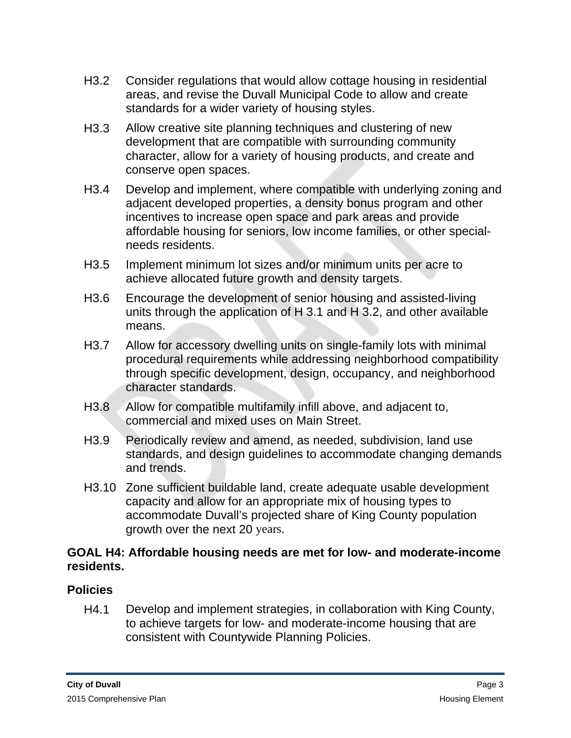- H3.2 Consider regulations that would allow cottage housing in residential areas, and revise the Duvall Municipal Code to allow and create standards for a wider variety of housing styles.
- H3.3 Allow creative site planning techniques and clustering of new development that are compatible with surrounding community character, allow for a variety of housing products, and create and conserve open spaces.
- H3.4 Develop and implement, where compatible with underlying zoning and adjacent developed properties, a density bonus program and other incentives to increase open space and park areas and provide affordable housing for seniors, low income families, or other specialneeds residents.
- H3.5 Implement minimum lot sizes and/or minimum units per acre to achieve allocated future growth and density targets.
- H3.6 Encourage the development of senior housing and assisted-living units through the application of H 3.1 and H 3.2, and other available means.
- H3.7 Allow for accessory dwelling units on single-family lots with minimal procedural requirements while addressing neighborhood compatibility through specific development, design, occupancy, and neighborhood character standards.
- H3.8 Allow for compatible multifamily infill above, and adjacent to, commercial and mixed uses on Main Street.
- H3.9 Periodically review and amend, as needed, subdivision, land use standards, and design guidelines to accommodate changing demands and trends.
- H3.10 Zone sufficient buildable land, create adequate usable development capacity and allow for an appropriate mix of housing types to accommodate Duvall's projected share of King County population growth over the next 20 years.

## **GOAL H4: Affordable housing needs are met for low- and moderate-income residents.**

# **Policies**

H4.1 Develop and implement strategies, in collaboration with King County, to achieve targets for low- and moderate-income housing that are consistent with Countywide Planning Policies.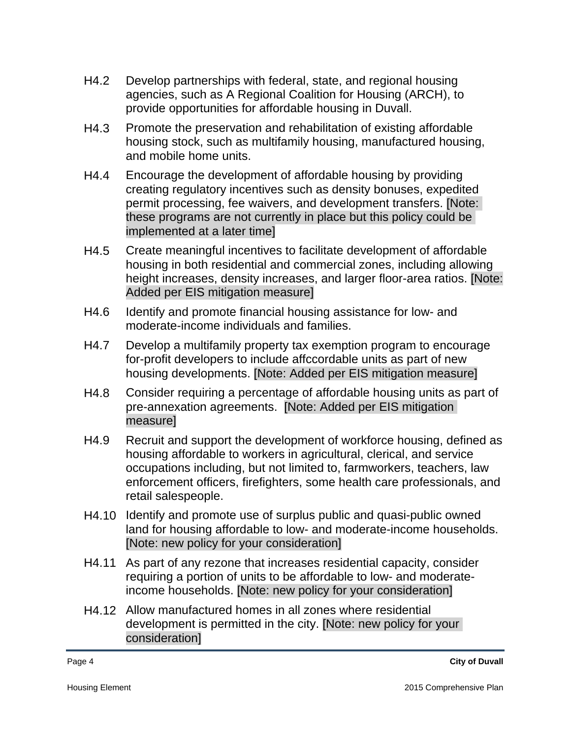- H4.2 Develop partnerships with federal, state, and regional housing agencies, such as A Regional Coalition for Housing (ARCH), to provide opportunities for affordable housing in Duvall.
- H4.3 Promote the preservation and rehabilitation of existing affordable housing stock, such as multifamily housing, manufactured housing, and mobile home units.
- H4.4 Encourage the development of affordable housing by providing creating regulatory incentives such as density bonuses, expedited permit processing, fee waivers, and development transfers. [Note: these programs are not currently in place but this policy could be implemented at a later time]
- H4.5 Create meaningful incentives to facilitate development of affordable housing in both residential and commercial zones, including allowing height increases, density increases, and larger floor-area ratios. [Note: Added per EIS mitigation measure]
- H4.6 Identify and promote financial housing assistance for low- and moderate-income individuals and families.
- H4.7 Develop a multifamily property tax exemption program to encourage for-profit developers to include affccordable units as part of new housing developments. [Note: Added per EIS mitigation measure]
- H4.8 Consider requiring a percentage of affordable housing units as part of pre-annexation agreements. [Note: Added per EIS mitigation measure]
- H4.9 Recruit and support the development of workforce housing, defined as housing affordable to workers in agricultural, clerical, and service occupations including, but not limited to, farmworkers, teachers, law enforcement officers, firefighters, some health care professionals, and retail salespeople.
- H4.10 Identify and promote use of surplus public and quasi-public owned land for housing affordable to low- and moderate-income households. [Note: new policy for your consideration]
- H4.11 As part of any rezone that increases residential capacity, consider requiring a portion of units to be affordable to low- and moderateincome households. [Note: new policy for your consideration]
- H4.12 Allow manufactured homes in all zones where residential development is permitted in the city. [Note: new policy for your consideration]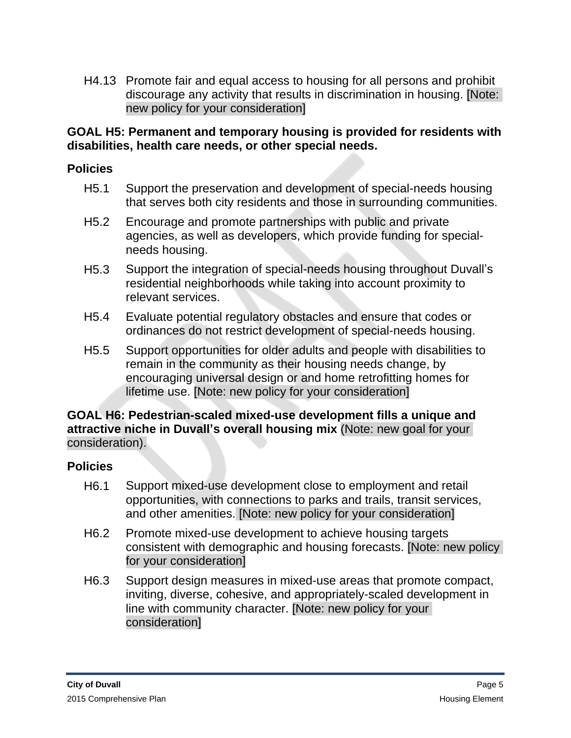H4.13 Promote fair and equal access to housing for all persons and prohibit discourage any activity that results in discrimination in housing. [Note: new policy for your consideration]

## **GOAL H5: Permanent and temporary housing is provided for residents with disabilities, health care needs, or other special needs.**

## **Policies**

- H5.1 Support the preservation and development of special-needs housing that serves both city residents and those in surrounding communities.
- H5.2 Encourage and promote partnerships with public and private agencies, as well as developers, which provide funding for specialneeds housing.
- H5.3 Support the integration of special-needs housing throughout Duvall's residential neighborhoods while taking into account proximity to relevant services.
- H5.4 Evaluate potential regulatory obstacles and ensure that codes or ordinances do not restrict development of special-needs housing.
- H5.5 Support opportunities for older adults and people with disabilities to remain in the community as their housing needs change, by encouraging universal design or and home retrofitting homes for lifetime use. [Note: new policy for your consideration]

#### **GOAL H6: Pedestrian-scaled mixed-use development fills a unique and attractive niche in Duvall's overall housing mix** (Note: new goal for your consideration).

## **Policies**

- H6.1 Support mixed-use development close to employment and retail opportunities, with connections to parks and trails, transit services, and other amenities. [Note: new policy for your consideration]
- H6.2 Promote mixed-use development to achieve housing targets consistent with demographic and housing forecasts. [Note: new policy for your consideration]
- H6.3 Support design measures in mixed-use areas that promote compact, inviting, diverse, cohesive, and appropriately-scaled development in line with community character. [Note: new policy for your consideration]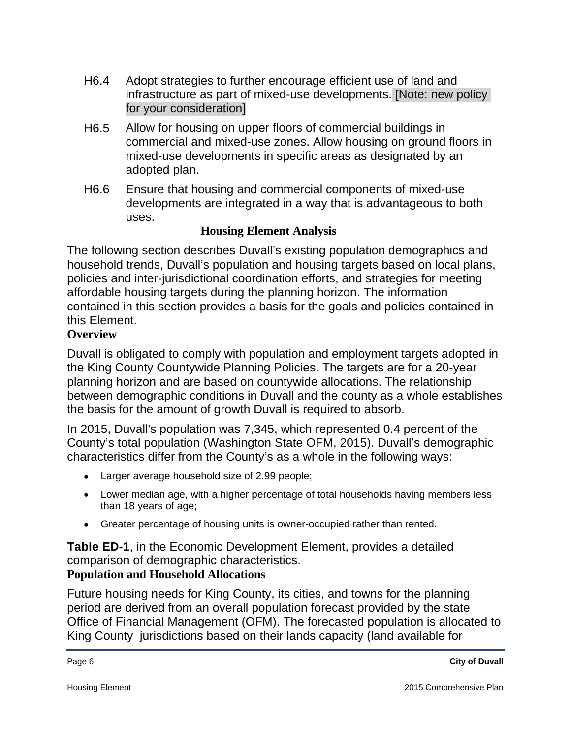- H6.4 Adopt strategies to further encourage efficient use of land and infrastructure as part of mixed-use developments. [Note: new policy for your consideration]
- H6.5 Allow for housing on upper floors of commercial buildings in commercial and mixed-use zones. Allow housing on ground floors in mixed-use developments in specific areas as designated by an adopted plan.
- H6.6 Ensure that housing and commercial components of mixed-use developments are integrated in a way that is advantageous to both uses.

## **Housing Element Analysis**

The following section describes Duvall's existing population demographics and household trends, Duvall's population and housing targets based on local plans, policies and inter-jurisdictional coordination efforts, and strategies for meeting affordable housing targets during the planning horizon. The information contained in this section provides a basis for the goals and policies contained in this Element.

## **Overview**

Duvall is obligated to comply with population and employment targets adopted in the King County Countywide Planning Policies. The targets are for a 20-year planning horizon and are based on countywide allocations. The relationship between demographic conditions in Duvall and the county as a whole establishes the basis for the amount of growth Duvall is required to absorb.

In 2015, Duvall's population was 7,345, which represented 0.4 percent of the County's total population (Washington State OFM, 2015). Duvall's demographic characteristics differ from the County's as a whole in the following ways:

- Larger average household size of 2.99 people;
- Lower median age, with a higher percentage of total households having members less than 18 years of age;
- Greater percentage of housing units is owner-occupied rather than rented.

**Table ED-1**, in the Economic Development Element, provides a detailed comparison of demographic characteristics.

## **Population and Household Allocations**

Future housing needs for King County, its cities, and towns for the planning period are derived from an overall population forecast provided by the state Office of Financial Management (OFM). The forecasted population is allocated to King County jurisdictions based on their lands capacity (land available for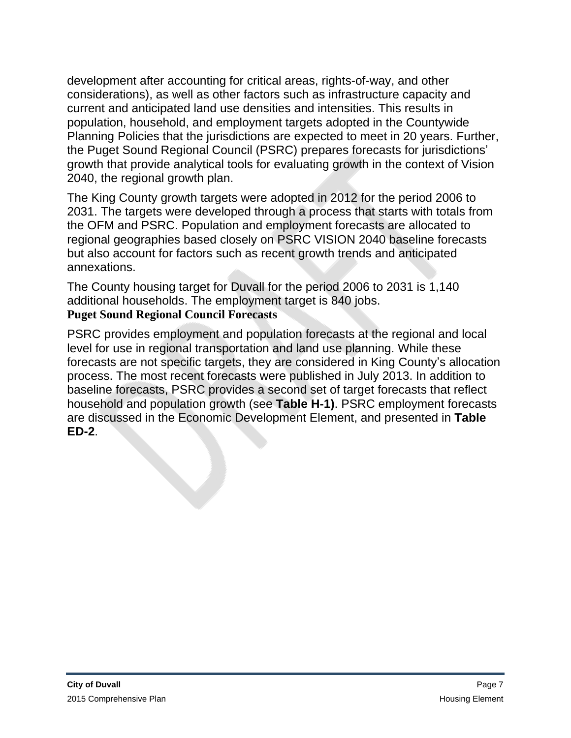development after accounting for critical areas, rights-of-way, and other considerations), as well as other factors such as infrastructure capacity and current and anticipated land use densities and intensities. This results in population, household, and employment targets adopted in the Countywide Planning Policies that the jurisdictions are expected to meet in 20 years. Further, the Puget Sound Regional Council (PSRC) prepares forecasts for jurisdictions' growth that provide analytical tools for evaluating growth in the context of Vision 2040, the regional growth plan.

The King County growth targets were adopted in 2012 for the period 2006 to 2031. The targets were developed through a process that starts with totals from the OFM and PSRC. Population and employment forecasts are allocated to regional geographies based closely on PSRC VISION 2040 baseline forecasts but also account for factors such as recent growth trends and anticipated annexations.

The County housing target for Duvall for the period 2006 to 2031 is 1,140 additional households. The employment target is 840 jobs. **Puget Sound Regional Council Forecasts**

PSRC provides employment and population forecasts at the regional and local level for use in regional transportation and land use planning. While these forecasts are not specific targets, they are considered in King County's allocation process. The most recent forecasts were published in July 2013. In addition to baseline forecasts, PSRC provides a second set of target forecasts that reflect household and population growth (see **Table H-1)**. PSRC employment forecasts are discussed in the Economic Development Element, and presented in **Table ED-2**.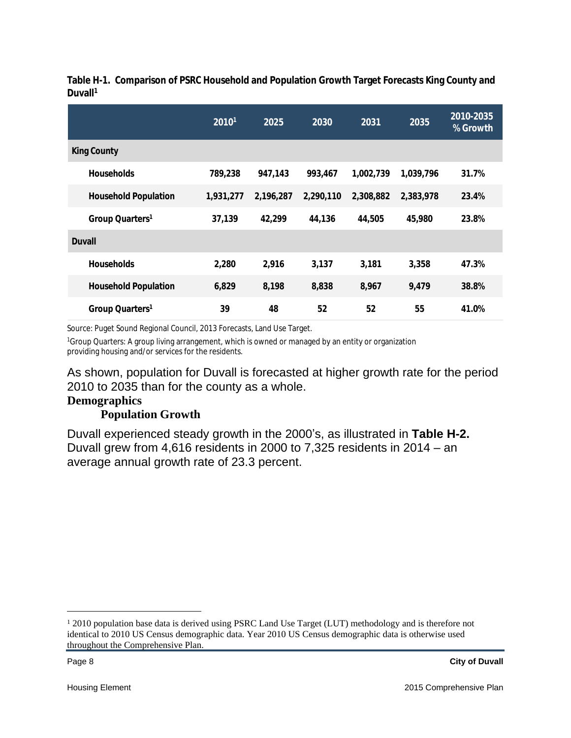|                             | 20101     | 2025      | 2030      | 2031      | 2035      | 2010-2035<br>% Growth |
|-----------------------------|-----------|-----------|-----------|-----------|-----------|-----------------------|
| <b>King County</b>          |           |           |           |           |           |                       |
| <b>Households</b>           | 789,238   | 947,143   | 993,467   | 1,002,739 | 1,039,796 | 31.7%                 |
| <b>Household Population</b> | 1,931,277 | 2,196,287 | 2,290,110 | 2,308,882 | 2,383,978 | 23.4%                 |
| Group Quarters <sup>1</sup> | 37,139    | 42,299    | 44,136    | 44,505    | 45,980    | 23.8%                 |
| <b>Duvall</b>               |           |           |           |           |           |                       |
| <b>Households</b>           | 2,280     | 2,916     | 3,137     | 3,181     | 3,358     | 47.3%                 |
| <b>Household Population</b> | 6,829     | 8,198     | 8,838     | 8,967     | 9,479     | 38.8%                 |
| Group Quarters <sup>1</sup> | 39        | 48        | 52        | 52        | 55        | 41.0%                 |

**Table H-1. Comparison of PSRC Household and Population Growth Target Forecasts King County and Duvall<sup>1</sup>**

Source: Puget Sound Regional Council, 2013 Forecasts, Land Use Target.

<sup>1</sup>Group Quarters: A group living arrangement, which is owned or managed by an entity or organization providing housing and/or services for the residents.

As shown, population for Duvall is forecasted at higher growth rate for the period 2010 to 2035 than for the county as a whole.

#### **Demographics**

#### **Population Growth**

Duvall experienced steady growth in the 2000's, as illustrated in **Table H-2.**  Duvall grew from 4,616 residents in 2000 to 7,325 residents in 2014 – an average annual growth rate of 23.3 percent.

<sup>&</sup>lt;sup>1</sup> 2010 population base data is derived using PSRC Land Use Target (LUT) methodology and is therefore not identical to 2010 US Census demographic data. Year 2010 US Census demographic data is otherwise used throughout the Comprehensive Plan.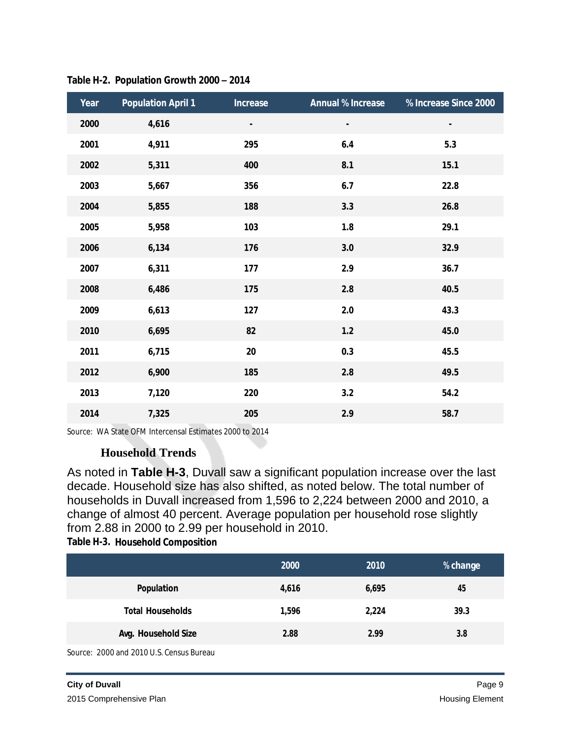| Year | <b>Population April 1</b> | <b>Increase</b> | <b>Annual % Increase</b> | % Increase Since 2000 |
|------|---------------------------|-----------------|--------------------------|-----------------------|
| 2000 | 4,616                     | ٠               | ٠                        | ٠                     |
| 2001 | 4,911                     | 295             | 6.4                      | 5.3                   |
| 2002 | 5,311                     | 400             | 8.1                      | 15.1                  |
| 2003 | 5,667                     | 356             | 6.7                      | 22.8                  |
| 2004 | 5,855                     | 188             | 3.3                      | 26.8                  |
| 2005 | 5,958                     | 103             | 1.8                      | 29.1                  |
| 2006 | 6,134                     | 176             | 3.0                      | 32.9                  |
| 2007 | 6,311                     | 177             | 2.9                      | 36.7                  |
| 2008 | 6,486                     | 175             | 2.8                      | 40.5                  |
| 2009 | 6,613                     | 127             | 2.0                      | 43.3                  |
| 2010 | 6,695                     | 82              | $1.2$                    | 45.0                  |
| 2011 | 6,715                     | 20              | 0.3                      | 45.5                  |
| 2012 | 6,900                     | 185             | 2.8                      | 49.5                  |
| 2013 | 7,120                     | 220             | 3.2                      | 54.2                  |
| 2014 | 7,325                     | 205             | 2.9                      | 58.7                  |

**Table H-2. Population Growth 2000 – 2014**

Source: WA State OFM Intercensal Estimates 2000 to 2014

#### **Household Trends**

As noted in **Table H-3**, Duvall saw a significant population increase over the last decade. Household size has also shifted, as noted below. The total number of households in Duvall increased from 1,596 to 2,224 between 2000 and 2010, a change of almost 40 percent. Average population per household rose slightly from 2.88 in 2000 to 2.99 per household in 2010.

**Table H-3. Household Composition**

|                         | 2000  | 2010  | % change |
|-------------------------|-------|-------|----------|
| Population              | 4,616 | 6,695 | 45       |
| <b>Total Households</b> | 1,596 | 2,224 | 39.3     |
| Avg. Household Size     | 2.88  | 2.99  | 3.8      |

Source: 2000 and 2010 U.S. Census Bureau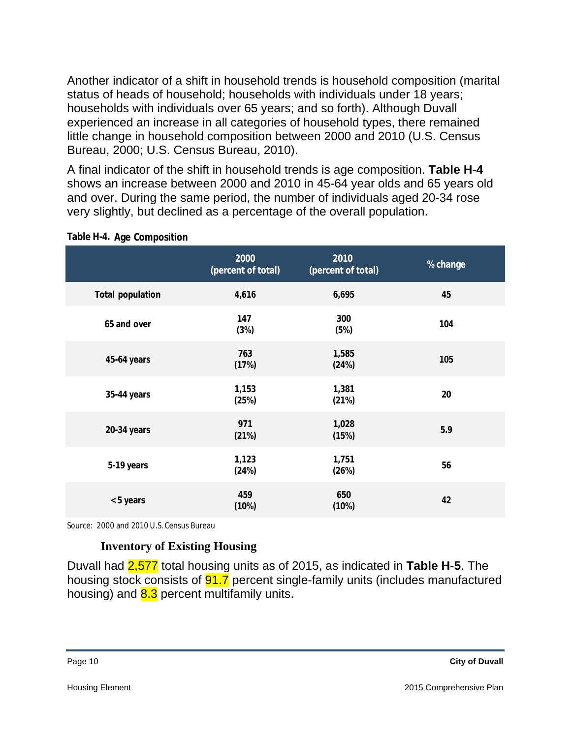Another indicator of a shift in household trends is household composition (marital status of heads of household; households with individuals under 18 years; households with individuals over 65 years; and so forth). Although Duvall experienced an increase in all categories of household types, there remained little change in household composition between 2000 and 2010 (U.S. Census Bureau, 2000; U.S. Census Bureau, 2010).

A final indicator of the shift in household trends is age composition. **Table H-4** shows an increase between 2000 and 2010 in 45-64 year olds and 65 years old and over. During the same period, the number of individuals aged 20-34 rose very slightly, but declined as a percentage of the overall population.

|                         | 2000<br>(percent of total) | 2010<br>(percent of total) | % change |
|-------------------------|----------------------------|----------------------------|----------|
| <b>Total population</b> | 4,616                      | 6,695                      | 45       |
| 65 and over             | 147<br>(3%)                | 300<br>(5%)                | 104      |
| 45-64 years             | 763<br>(17%)               | 1,585<br>(24%)             | 105      |
| 35-44 years             | 1,153<br>(25%)             | 1,381<br>(21%)             | 20       |
| 20-34 years             | 971<br>(21%)               | 1,028<br>(15%)             | 5.9      |
| 5-19 years              | 1,123<br>(24%)             | 1,751<br>(26%)             | 56       |
| < 5 years               | 459<br>(10%)               | 650<br>(10%)               | 42       |

#### **Table H-4. Age Composition**

Source: 2000 and 2010 U.S. Census Bureau

#### **Inventory of Existing Housing**

Duvall had 2,577 total housing units as of 2015, as indicated in **Table H-5**. The housing stock consists of **91.7** percent single-family units (includes manufactured housing) and  $8.3$  percent multifamily units.

| r<br>ır.<br>ы |  |
|---------------|--|
|---------------|--|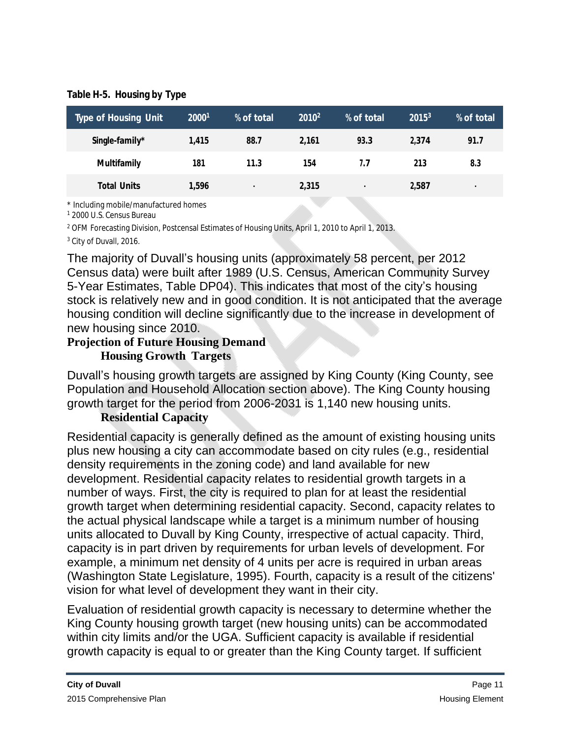**Table H-5. Housing by Type**

| <b>Type of Housing Unit</b> | 20001 | % of total | 2010 <sup>2</sup> | % of total | $2015^3$ | % of total |
|-----------------------------|-------|------------|-------------------|------------|----------|------------|
| Single-family*              | 1,415 | 88.7       | 2.161             | 93.3       | 2.374    | 91.7       |
| <b>Multifamily</b>          | 181   | 11.3       | 154               | 1.7        | 213      | 8.3        |
| <b>Total Units</b>          | 1,596 | ٠          | 2,315             |            | 2,587    | ٠          |
|                             |       |            |                   |            |          |            |

\* Including mobile/manufactured homes

1 2000 U.S. Census Bureau

2 OFM Forecasting Division, Postcensal Estimates of Housing Units, April 1, 2010 to April 1, 2013.

<sup>3</sup> City of Duvall, 2016.

The majority of Duvall's housing units (approximately 58 percent, per 2012 Census data) were built after 1989 (U.S. Census, American Community Survey 5-Year Estimates, Table DP04). This indicates that most of the city's housing stock is relatively new and in good condition. It is not anticipated that the average housing condition will decline significantly due to the increase in development of new housing since 2010.

# **Projection of Future Housing Demand**

## **Housing Growth Targets**

Duvall's housing growth targets are assigned by King County (King County, see Population and Household Allocation section above). The King County housing growth target for the period from 2006-2031 is 1,140 new housing units.

# **Residential Capacity**

Residential capacity is generally defined as the amount of existing housing units plus new housing a city can accommodate based on city rules (e.g., residential density requirements in the zoning code) and land available for new development. Residential capacity relates to residential growth targets in a number of ways. First, the city is required to plan for at least the residential growth target when determining residential capacity. Second, capacity relates to the actual physical landscape while a target is a minimum number of housing units allocated to Duvall by King County, irrespective of actual capacity. Third, capacity is in part driven by requirements for urban levels of development. For example, a minimum net density of 4 units per acre is required in urban areas (Washington State Legislature, 1995). Fourth, capacity is a result of the citizens' vision for what level of development they want in their city.

Evaluation of residential growth capacity is necessary to determine whether the King County housing growth target (new housing units) can be accommodated within city limits and/or the UGA. Sufficient capacity is available if residential growth capacity is equal to or greater than the King County target. If sufficient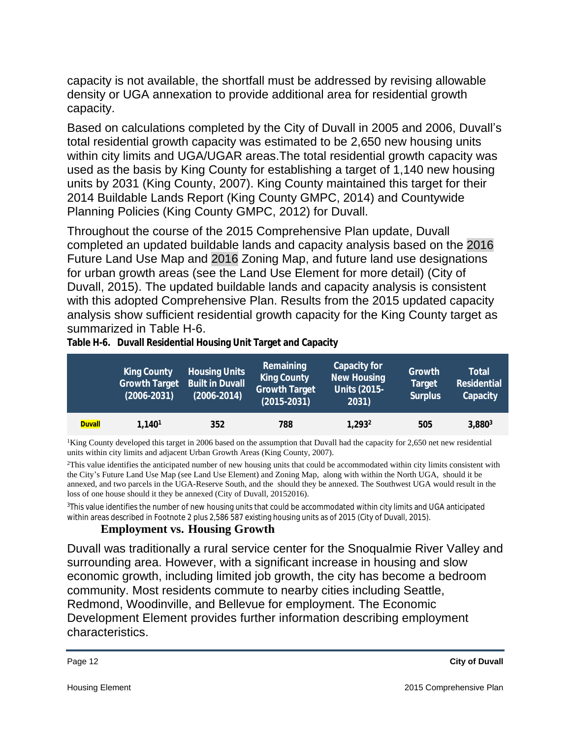capacity is not available, the shortfall must be addressed by revising allowable density or UGA annexation to provide additional area for residential growth capacity.

Based on calculations completed by the City of Duvall in 2005 and 2006, Duvall's total residential growth capacity was estimated to be 2,650 new housing units within city limits and UGA/UGAR areas.The total residential growth capacity was used as the basis by King County for establishing a target of 1,140 new housing units by 2031 (King County, 2007). King County maintained this target for their 2014 Buildable Lands Report (King County GMPC, 2014) and Countywide Planning Policies (King County GMPC, 2012) for Duvall.

Throughout the course of the 2015 Comprehensive Plan update, Duvall completed an updated buildable lands and capacity analysis based on the 2016 Future Land Use Map and 2016 Zoning Map, and future land use designations for urban growth areas (see the Land Use Element for more detail) (City of Duvall, 2015). The updated buildable lands and capacity analysis is consistent with this adopted Comprehensive Plan. Results from the 2015 updated capacity analysis show sufficient residential growth capacity for the King County target as summarized in Table H-6.

|               | <b>King County</b><br><b>Growth Target</b><br>$(2006 - 2031)$ | <b>Housing Units</b><br><b>Built in Duvall</b><br>$(2006 - 2014)$ | Remaining<br><b>King County</b><br><b>Growth Target</b><br>$(2015 - 2031)$ | Capacity for<br><b>New Housing</b><br><b>Units (2015-</b><br>2031) | Growth<br><b>Target</b><br><b>Surplus</b> | <b>Total</b><br><b>Residential</b><br>Capacity |
|---------------|---------------------------------------------------------------|-------------------------------------------------------------------|----------------------------------------------------------------------------|--------------------------------------------------------------------|-------------------------------------------|------------------------------------------------|
| <b>Duvall</b> | 1.140 <sup>1</sup>                                            | 352                                                               | 788                                                                        | 1.293 <sup>2</sup>                                                 | 505                                       | $3,880^3$                                      |

**Table H-6. Duvall Residential Housing Unit Target and Capacity**

<sup>1</sup>King County developed this target in 2006 based on the assumption that Duvall had the capacity for 2,650 net new residential units within city limits and adjacent Urban Growth Areas (King County, 2007).

 $^{2}$ This value identifies the anticipated number of new housing units that could be accommodated within city limits consistent with the City's Future Land Use Map (see Land Use Element) and Zoning Map, along with within the North UGA, should it be annexed, and two parcels in the UGA-Reserve South, and the should they be annexed. The Southwest UGA would result in the loss of one house should it they be annexed (City of Duvall, 20152016).

<sup>3</sup>This value identifies the number of new housing units that could be accommodated within city limits and UGA anticipated within areas described in Footnote 2 plus 2,586 587 existing housing units as of 2015 (City of Duvall, 2015).

## **Employment vs. Housing Growth**

Duvall was traditionally a rural service center for the Snoqualmie River Valley and surrounding area. However, with a significant increase in housing and slow economic growth, including limited job growth, the city has become a bedroom community. Most residents commute to nearby cities including Seattle, Redmond, Woodinville, and Bellevue for employment. The Economic Development Element provides further information describing employment characteristics.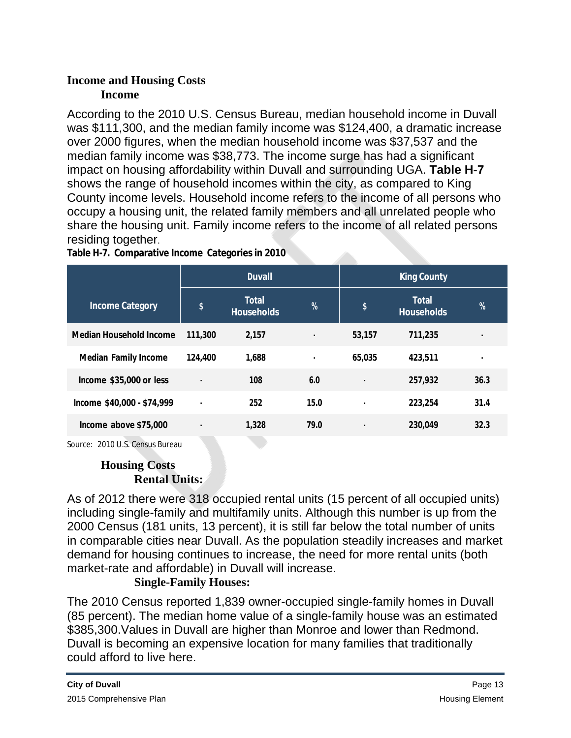## **Income and Housing Costs Income**

According to the 2010 U.S. Census Bureau, median household income in Duvall was \$111,300, and the median family income was \$124,400, a dramatic increase over 2000 figures, when the median household income was \$37,537 and the median family income was \$38,773. The income surge has had a significant impact on housing affordability within Duvall and surrounding UGA. **Table H-7** shows the range of household incomes within the city, as compared to King County income levels. Household income refers to the income of all persons who occupy a housing unit, the related family members and all unrelated people who share the housing unit. Family income refers to the income of all related persons residing together.

<u>i di se</u>

|                                | <b>Duvall</b>  |                                   |                |        | <b>King County</b>                |               |
|--------------------------------|----------------|-----------------------------------|----------------|--------|-----------------------------------|---------------|
| <b>Income Category</b>         | \$             | <b>Total</b><br><b>Households</b> | $\frac{9}{6}$  | \$     | <b>Total</b><br><b>Households</b> | $\frac{9}{6}$ |
| <b>Median Household Income</b> | 111,300        | 2,157                             | ٠              | 53,157 | 711,235                           | ٠             |
| <b>Median Family Income</b>    | 124,400        | 1,688                             | $\blacksquare$ | 65,035 | 423,511                           | ٠             |
| Income $$35,000$ or less       | $\blacksquare$ | 108                               | 6.0            | ٠      | 257,932                           | 36.3          |
| Income \$40,000 - \$74,999     | $\bullet$      | 252                               | 15.0           | ٠      | 223,254                           | 31.4          |
| Income above \$75,000          | ٠              | 1,328                             | 79.0           | ٠      | 230,049                           | 32.3          |

**Table H-7. Comparative Income Categories in 2010**

Source: 2010 U.S. Census Bureau

# **Housing Costs Rental Units:**

As of 2012 there were 318 occupied rental units (15 percent of all occupied units) including single-family and multifamily units. Although this number is up from the 2000 Census (181 units, 13 percent), it is still far below the total number of units in comparable cities near Duvall. As the population steadily increases and market demand for housing continues to increase, the need for more rental units (both market-rate and affordable) in Duvall will increase.

# **Single-Family Houses:**

The 2010 Census reported 1,839 owner-occupied single-family homes in Duvall (85 percent). The median home value of a single-family house was an estimated \$385,300.Values in Duvall are higher than Monroe and lower than Redmond. Duvall is becoming an expensive location for many families that traditionally could afford to live here.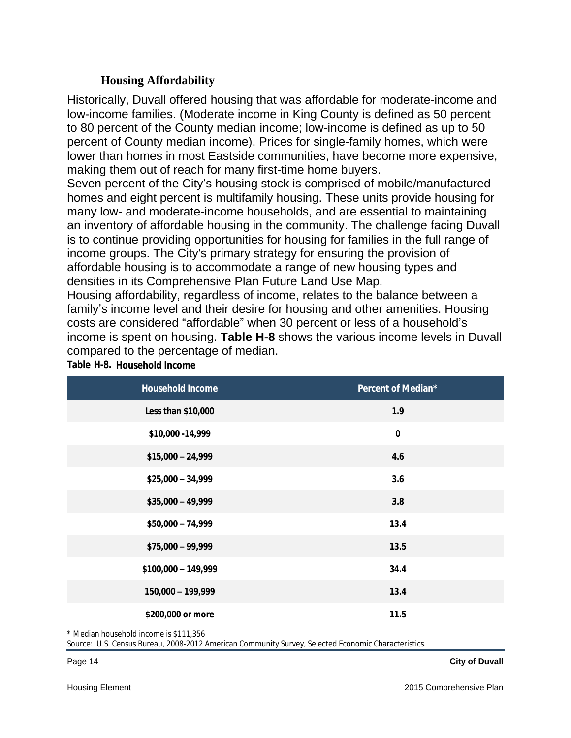#### **Housing Affordability**

Historically, Duvall offered housing that was affordable for moderate-income and low-income families. (Moderate income in King County is defined as 50 percent to 80 percent of the County median income; low-income is defined as up to 50 percent of County median income). Prices for single-family homes, which were lower than homes in most Eastside communities, have become more expensive, making them out of reach for many first-time home buyers.

Seven percent of the City's housing stock is comprised of mobile/manufactured homes and eight percent is multifamily housing. These units provide housing for many low- and moderate-income households, and are essential to maintaining an inventory of affordable housing in the community. The challenge facing Duvall is to continue providing opportunities for housing for families in the full range of income groups. The City's primary strategy for ensuring the provision of affordable housing is to accommodate a range of new housing types and densities in its Comprehensive Plan Future Land Use Map.

Housing affordability, regardless of income, relates to the balance between a family's income level and their desire for housing and other amenities. Housing costs are considered "affordable" when 30 percent or less of a household's income is spent on housing. **Table H-8** shows the various income levels in Duvall compared to the percentage of median.

| <b>Household Income</b> | Percent of Median* |
|-------------------------|--------------------|
| Less than \$10,000      | 1.9                |
| \$10,000 - 14,999       | $\bf{0}$           |
| $$15,000 - 24,999$      | 4.6                |
| $$25,000 - 34,999$      | 3.6                |
| $$35,000 - 49,999$      | 3.8                |
| $$50,000 - 74,999$      | 13.4               |
| $$75,000 - 99,999$      | 13.5               |
| $$100,000 - 149,999$    | 34.4               |
| 150,000 - 199,999       | 13.4               |
| \$200,000 or more       | 11.5               |

**Table H-8. Household Income**

\* Median household income is \$111,356

Source: U.S. Census Bureau, 2008-2012 American Community Survey, Selected Economic Characteristics.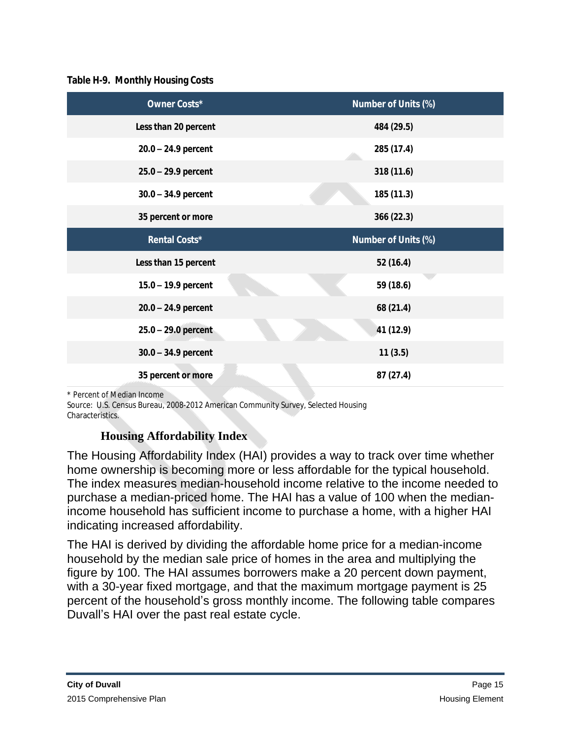#### **Table H-9. Monthly Housing Costs**

| <b>Owner Costs*</b>   | Number of Units (%) |
|-----------------------|---------------------|
| Less than 20 percent  | 484 (29.5)          |
| $20.0 - 24.9$ percent | 285 (17.4)          |
| $25.0 - 29.9$ percent | 318 (11.6)          |
| $30.0 - 34.9$ percent | 185 (11.3)          |
| 35 percent or more    | 366 (22.3)          |
| Rental Costs*         | Number of Units (%) |
| Less than 15 percent  | 52 (16.4)           |
| $15.0 - 19.9$ percent | 59 (18.6)           |
| $20.0 - 24.9$ percent | 68 (21.4)           |
| $25.0 - 29.0$ percent | 41 (12.9)           |
| $30.0 - 34.9$ percent | 11(3.5)             |
| 35 percent or more    | 87(27.4)            |

\* Percent of Median Income

Source: U.S. Census Bureau, 2008-2012 American Community Survey, Selected Housing Characteristics.

# **Housing Affordability Index**

The Housing Affordability Index (HAI) provides a way to track over time whether home ownership is becoming more or less affordable for the typical household. The index measures median-household income relative to the income needed to purchase a median-priced home. The HAI has a value of 100 when the medianincome household has sufficient income to purchase a home, with a higher HAI indicating increased affordability.

The HAI is derived by dividing the affordable home price for a median-income household by the median sale price of homes in the area and multiplying the figure by 100. The HAI assumes borrowers make a 20 percent down payment, with a 30-year fixed mortgage, and that the maximum mortgage payment is 25 percent of the household's gross monthly income. The following table compares Duvall's HAI over the past real estate cycle.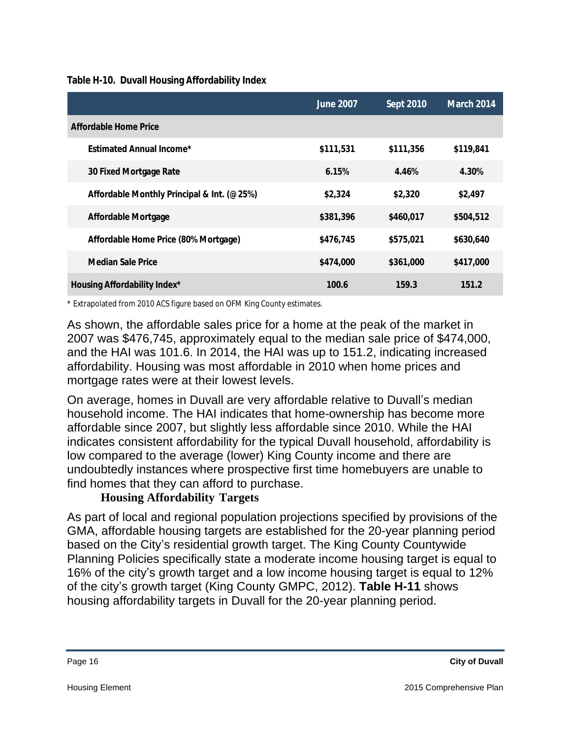**Table H-10. Duvall Housing Affordability Index**

|                                            | <b>June 2007</b> | Sept 2010 | <b>March 2014</b> |
|--------------------------------------------|------------------|-----------|-------------------|
| Affordable Home Price                      |                  |           |                   |
| <b>Estimated Annual Income*</b>            | \$111,531        | \$111,356 | \$119,841         |
| 30 Fixed Mortgage Rate                     | 6.15%            | 4.46%     | 4.30%             |
| Affordable Monthly Principal & Int. (@25%) | \$2,324          | \$2,320   | \$2,497           |
| <b>Affordable Mortgage</b>                 | \$381,396        | \$460,017 | \$504,512         |
| Affordable Home Price (80% Mortgage)       | \$476,745        | \$575,021 | \$630,640         |
| <b>Median Sale Price</b>                   | \$474,000        | \$361,000 | \$417,000         |
| <b>Housing Affordability Index*</b>        | 100.6            | 159.3     | 151.2             |

\* Extrapolated from 2010 ACS figure based on OFM King County estimates.

As shown, the affordable sales price for a home at the peak of the market in 2007 was \$476,745, approximately equal to the median sale price of \$474,000, and the HAI was 101.6. In 2014, the HAI was up to 151.2, indicating increased affordability. Housing was most affordable in 2010 when home prices and mortgage rates were at their lowest levels.

On average, homes in Duvall are very affordable relative to Duvall's median household income. The HAI indicates that home-ownership has become more affordable since 2007, but slightly less affordable since 2010. While the HAI indicates consistent affordability for the typical Duvall household, affordability is low compared to the average (lower) King County income and there are undoubtedly instances where prospective first time homebuyers are unable to find homes that they can afford to purchase.

## **Housing Affordability Targets**

As part of local and regional population projections specified by provisions of the GMA, affordable housing targets are established for the 20-year planning period based on the City's residential growth target. The King County Countywide Planning Policies specifically state a moderate income housing target is equal to 16% of the city's growth target and a low income housing target is equal to 12% of the city's growth target (King County GMPC, 2012). **Table H-11** shows housing affordability targets in Duvall for the 20-year planning period.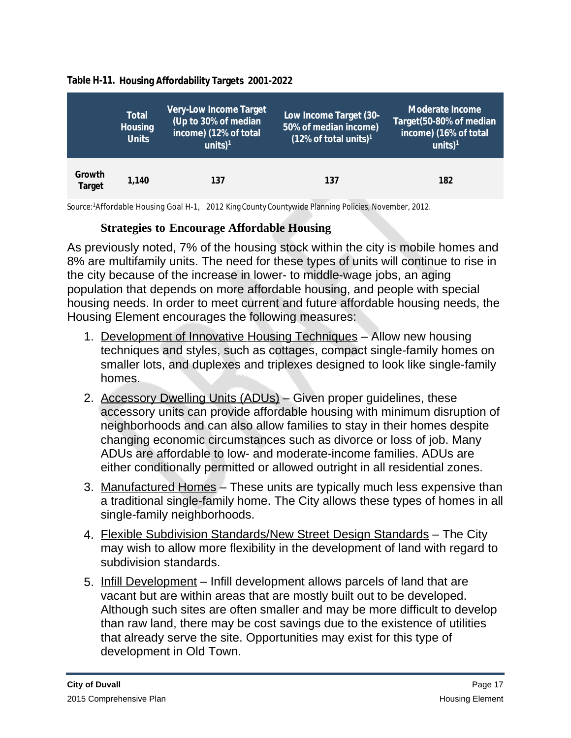|                         | Total<br><b>Housing</b><br><b>Units</b> | <b>Very-Low Income Target</b><br>(Up to 30% of median<br>income) (12% of total<br>units $)^1$ | Low Income Target (30-<br>50% of median income)<br>$(12\% \text{ of total units})$ <sup>1</sup> | Moderate Income<br>Target(50-80% of median<br>income) (16% of total<br>$units)$ <sup>1</sup> |
|-------------------------|-----------------------------------------|-----------------------------------------------------------------------------------------------|-------------------------------------------------------------------------------------------------|----------------------------------------------------------------------------------------------|
| Growth<br><b>Target</b> | 1.140                                   | 137                                                                                           | 137                                                                                             | 182                                                                                          |

#### **Table H-11. Housing Affordability Targets 2001-2022**

Source:<sup>1</sup>Affordable Housing Goal H-1, 2012 King County Countywide Planning Policies, November, 2012.

#### **Strategies to Encourage Affordable Housing**

As previously noted, 7% of the housing stock within the city is mobile homes and 8% are multifamily units. The need for these types of units will continue to rise in the city because of the increase in lower- to middle-wage jobs, an aging population that depends on more affordable housing, and people with special housing needs. In order to meet current and future affordable housing needs, the Housing Element encourages the following measures:

- 1. Development of Innovative Housing Techniques Allow new housing techniques and styles, such as cottages, compact single-family homes on smaller lots, and duplexes and triplexes designed to look like single-family homes.
- 2. Accessory Dwelling Units (ADUs) Given proper guidelines, these accessory units can provide affordable housing with minimum disruption of neighborhoods and can also allow families to stay in their homes despite changing economic circumstances such as divorce or loss of job. Many ADUs are affordable to low- and moderate-income families. ADUs are either conditionally permitted or allowed outright in all residential zones.
- 3. Manufactured Homes These units are typically much less expensive than a traditional single-family home. The City allows these types of homes in all single-family neighborhoods.
- 4. Flexible Subdivision Standards/New Street Design Standards The City may wish to allow more flexibility in the development of land with regard to subdivision standards.
- 5. Infill Development Infill development allows parcels of land that are vacant but are within areas that are mostly built out to be developed. Although such sites are often smaller and may be more difficult to develop than raw land, there may be cost savings due to the existence of utilities that already serve the site. Opportunities may exist for this type of development in Old Town.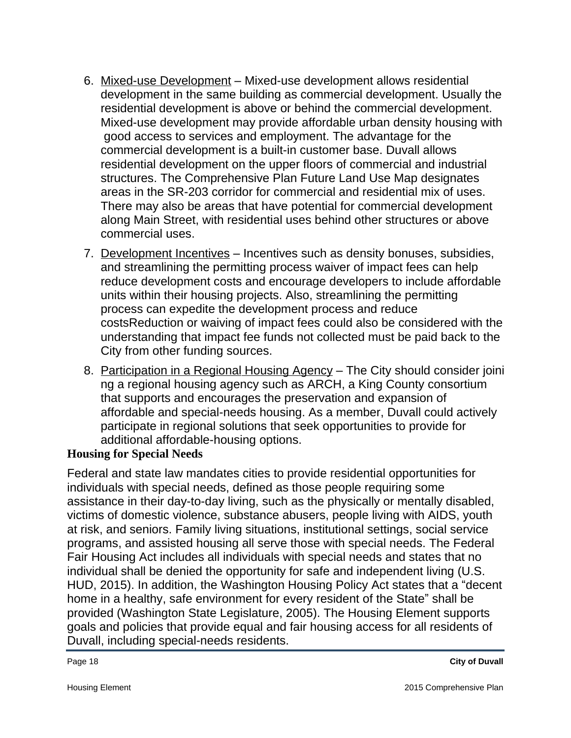- 6. Mixed-use Development Mixed-use development allows residential development in the same building as commercial development. Usually the residential development is above or behind the commercial development. Mixed-use development may provide affordable urban density housing with good access to services and employment. The advantage for the commercial development is a built-in customer base. Duvall allows residential development on the upper floors of commercial and industrial structures. The Comprehensive Plan Future Land Use Map designates areas in the SR-203 corridor for commercial and residential mix of uses. There may also be areas that have potential for commercial development along Main Street, with residential uses behind other structures or above commercial uses.
- 7. Development Incentives Incentives such as density bonuses, subsidies, and streamlining the permitting process waiver of impact fees can help reduce development costs and encourage developers to include affordable units within their housing projects. Also, streamlining the permitting process can expedite the development process and reduce costsReduction or waiving of impact fees could also be considered with the understanding that impact fee funds not collected must be paid back to the City from other funding sources.
- 8. Participation in a Regional Housing Agency The City should consider joini ng a regional housing agency such as ARCH, a King County consortium that supports and encourages the preservation and expansion of affordable and special-needs housing. As a member, Duvall could actively participate in regional solutions that seek opportunities to provide for additional affordable-housing options.

#### **Housing for Special Needs**

Federal and state law mandates cities to provide residential opportunities for individuals with special needs, defined as those people requiring some assistance in their day-to-day living, such as the physically or mentally disabled, victims of domestic violence, substance abusers, people living with AIDS, youth at risk, and seniors. Family living situations, institutional settings, social service programs, and assisted housing all serve those with special needs. The Federal Fair Housing Act includes all individuals with special needs and states that no individual shall be denied the opportunity for safe and independent living (U.S. HUD, 2015). In addition, the Washington Housing Policy Act states that a "decent home in a healthy, safe environment for every resident of the State" shall be provided (Washington State Legislature, 2005). The Housing Element supports goals and policies that provide equal and fair housing access for all residents of Duvall, including special-needs residents.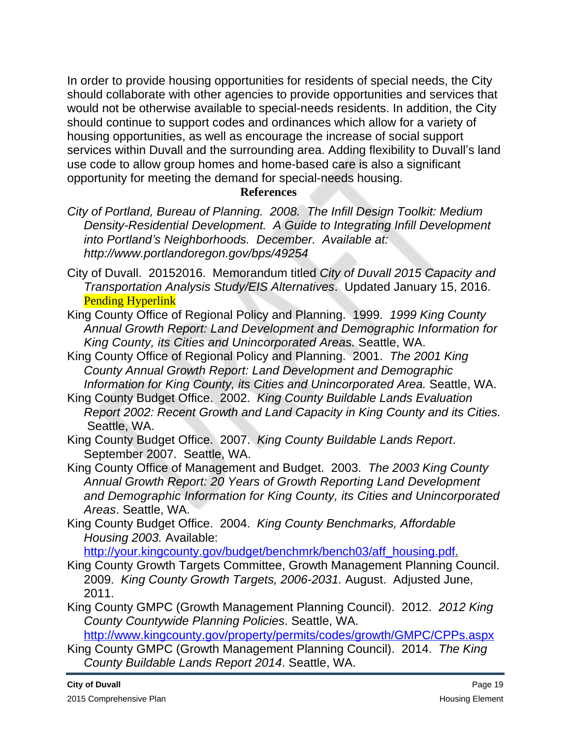In order to provide housing opportunities for residents of special needs, the City should collaborate with other agencies to provide opportunities and services that would not be otherwise available to special-needs residents. In addition, the City should continue to support codes and ordinances which allow for a variety of housing opportunities, as well as encourage the increase of social support services within Duvall and the surrounding area. Adding flexibility to Duvall's land use code to allow group homes and home-based care is also a significant opportunity for meeting the demand for special-needs housing.

#### **References**

- *City of Portland, Bureau of Planning. 2008. The Infill Design Toolkit: Medium Density-Residential Development. A Guide to Integrating Infill Development into Portland's Neighborhoods. December. Available at: <http://www.portlandoregon.gov/bps/49254>*
- City of Duvall. 20152016. Memorandum titled *City of Duvall 2015 Capacity and Transportation Analysis Study/EIS Alternatives*. Updated January 15, 2016. Pending Hyperlink
- King County Office of Regional Policy and Planning. 1999. *1999 King County Annual Growth Report: Land Development and Demographic Information for King County, its Cities and Unincorporated Areas.* Seattle, WA.
- King County Office of Regional Policy and Planning. 2001. *The 2001 King County Annual Growth Report: Land Development and Demographic Information for King County, its Cities and Unincorporated Area.* Seattle, WA.
- King County Budget Office. 2002. *King County Buildable Lands Evaluation Report 2002: Recent Growth and Land Capacity in King County and its Cities.* Seattle, WA.
- King County Budget Office. 2007. *King County Buildable Lands Report*. September 2007. Seattle, WA.
- King County Office of Management and Budget. 2003. *The 2003 King County Annual Growth Report: 20 Years of Growth Reporting Land Development and Demographic Information for King County, its Cities and Unincorporated Areas*. Seattle, WA.
- King County Budget Office. 2004. *King County Benchmarks, Affordable Housing 2003.* Available:

[http://your.kingcounty.gov/budget/benchmrk/bench03/aff\\_housing.pdf](http://your.kingcounty.gov/budget/benchmrk/bench03/aff_housing.pdf).

- King County Growth Targets Committee, Growth Management Planning Council. 2009. *King County Growth Targets, 2006-2031.* August. Adjusted June, 2011.
- King County GMPC (Growth Management Planning Council). 2012. *2012 King County Countywide Planning Policies*. Seattle, WA.

<http://www.kingcounty.gov/property/permits/codes/growth/GMPC/CPPs.aspx>

King County GMPC (Growth Management Planning Council). 2014. *The King County Buildable Lands Report 2014*. Seattle, WA.